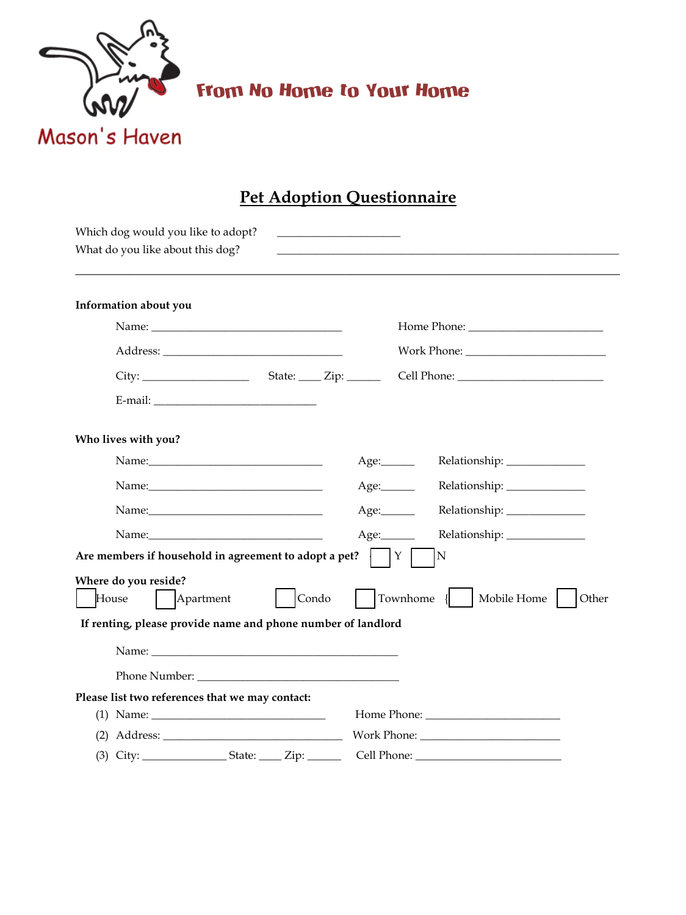

## **Pet Adoption Questionnaire**

| Which dog would you like to adopt?                                                                         |                                   |       |                                    |  |  |
|------------------------------------------------------------------------------------------------------------|-----------------------------------|-------|------------------------------------|--|--|
| What do you like about this dog?                                                                           |                                   |       |                                    |  |  |
|                                                                                                            |                                   |       |                                    |  |  |
| Information about you                                                                                      |                                   |       |                                    |  |  |
|                                                                                                            |                                   |       |                                    |  |  |
|                                                                                                            |                                   |       |                                    |  |  |
|                                                                                                            | State: $\_\_\_$ Zip: $\_\_\_\_\_$ |       |                                    |  |  |
|                                                                                                            |                                   |       |                                    |  |  |
| Who lives with you?                                                                                        |                                   |       |                                    |  |  |
|                                                                                                            |                                   |       |                                    |  |  |
|                                                                                                            |                                   |       | Relationship: _______________      |  |  |
|                                                                                                            |                                   |       | Relationship: _______________      |  |  |
|                                                                                                            |                                   |       | Relationship: _____________        |  |  |
| Are members if household in agreement to adopt a pet?                                                      |                                   |       | $\mathbf N$<br> Y                  |  |  |
| Where do you reside?<br>House<br>Apartment<br>If renting, please provide name and phone number of landlord |                                   | Condo | Townhome {<br>Mobile Home<br>Other |  |  |
| Name: Name:                                                                                                |                                   |       |                                    |  |  |
|                                                                                                            |                                   |       |                                    |  |  |
| Please list two references that we may contact:                                                            |                                   |       |                                    |  |  |
|                                                                                                            |                                   |       |                                    |  |  |
|                                                                                                            |                                   |       |                                    |  |  |
|                                                                                                            |                                   |       |                                    |  |  |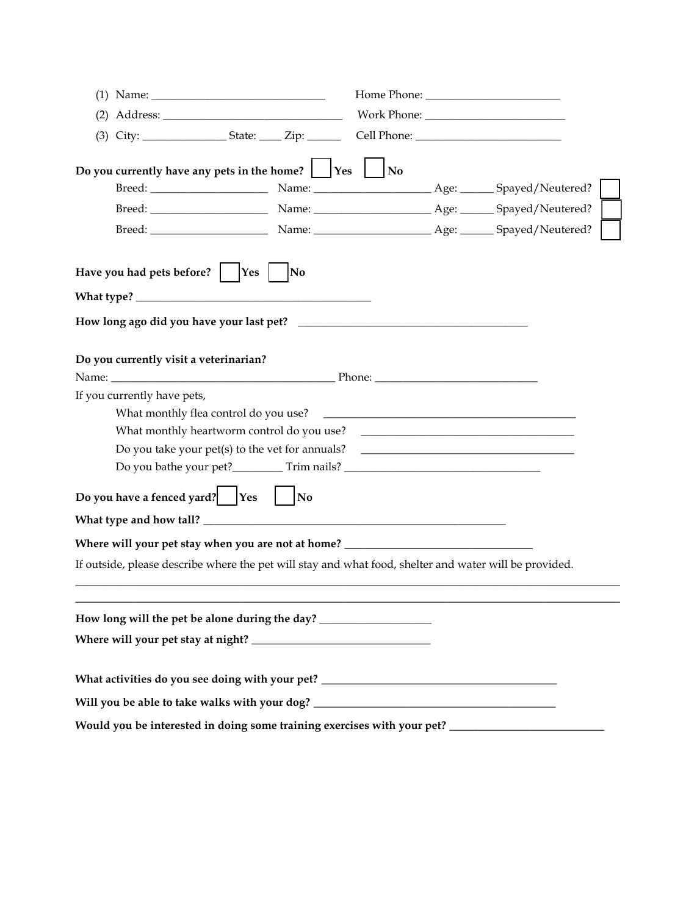| Do you currently have any pets in the home? $ $ $ $ Yes                                                | $\overline{\rm ~No}$ |  |
|--------------------------------------------------------------------------------------------------------|----------------------|--|
|                                                                                                        |                      |  |
|                                                                                                        |                      |  |
| Have you had pets before? $ $   Yes                                                                    | $\sqrt{N_0}$         |  |
|                                                                                                        |                      |  |
| Do you currently visit a veterinarian?                                                                 |                      |  |
|                                                                                                        |                      |  |
| If you currently have pets,                                                                            |                      |  |
|                                                                                                        |                      |  |
|                                                                                                        |                      |  |
| Do you take your pet(s) to the vet for annuals? ________________________________                       |                      |  |
| Do you bathe your pet?____________Trim nails? __________________________________                       |                      |  |
| Do you have a fenced yard? $\begin{array}{ c c c c c } \hline \end{array}$ No                          |                      |  |
|                                                                                                        |                      |  |
| Where will your pet stay when you are not at home? _____________________________                       |                      |  |
| If outside, please describe where the pet will stay and what food, shelter and water will be provided. |                      |  |
| How long will the pet be alone during the day? _________________________________                       |                      |  |
|                                                                                                        |                      |  |
|                                                                                                        |                      |  |
| What activities do you see doing with your pet? ________________________________                       |                      |  |
| Will you be able to take walks with your dog? __________________________________                       |                      |  |
| Would you be interested in doing some training exercises with your pet? ________                       |                      |  |